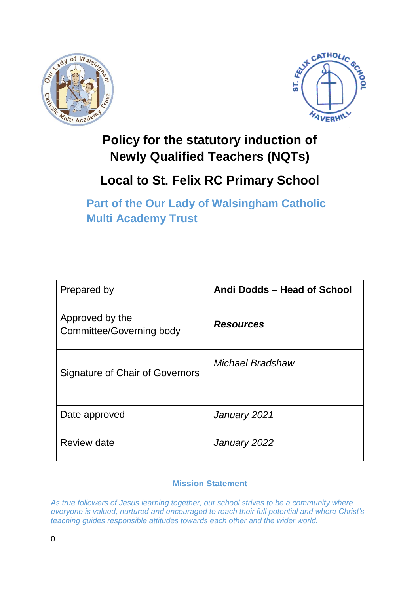



## **Policy for the statutory induction of Newly Qualified Teachers (NQTs)**

# **Local to St. Felix RC Primary School**

**Part of the Our Lady of Walsingham Catholic Multi Academy Trust**

| Prepared by                                        | Andi Dodds - Head of School |
|----------------------------------------------------|-----------------------------|
| Approved by the<br><b>Committee/Governing body</b> | <b>Resources</b>            |
| Signature of Chair of Governors                    | Michael Bradshaw            |
| Date approved                                      | January 2021                |
| Review date                                        | January 2022                |

#### **Mission Statement**

*As true followers of Jesus learning together, our school strives to be a community where everyone is valued, nurtured and encouraged to reach their full potential and where Christ's teaching guides responsible attitudes towards each other and the wider world.*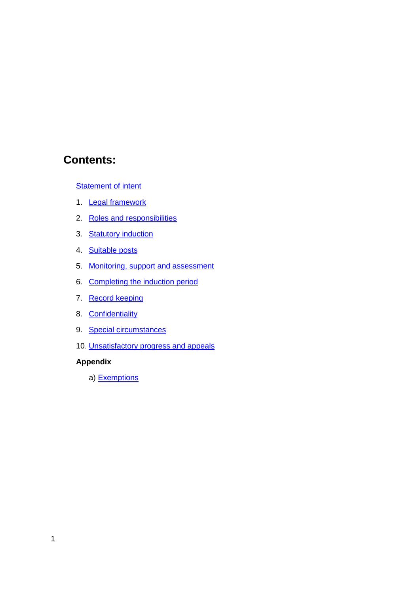### **Contents:**

**[Statement of intent](#page-2-0)** 

- 1. [Legal framework](#page-3-0)
- 2. [Roles and responsibilities](#page-3-1)
- 3. **Statutory induction**
- 4. [Suitable posts](#page-6-1)
- 5. [Monitoring, support and assessment](#page-7-0)
- 6. [Completing the induction period](#page-8-0)
- 7. [Record keeping](#page-9-0)
- 8. [Confidentiality](#page-9-1)
- 9. [Special circumstances](#page-9-2)
- 10. [Unsatisfactory progress and appeals](#page-11-0)

#### **Appendix**

a) [Exemptions](#page-14-0)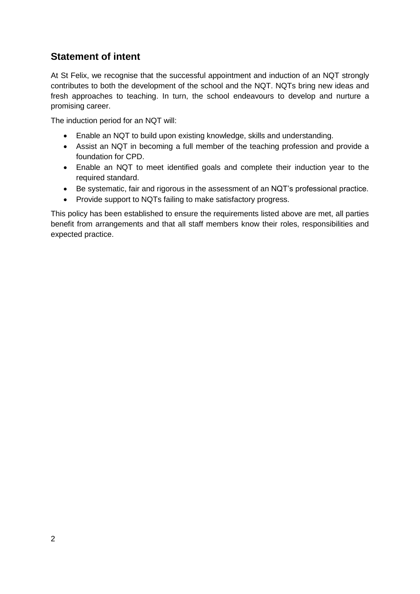#### <span id="page-2-0"></span>**Statement of intent**

At St Felix, we recognise that the successful appointment and induction of an NQT strongly contributes to both the development of the school and the NQT. NQTs bring new ideas and fresh approaches to teaching. In turn, the school endeavours to develop and nurture a promising career.

The induction period for an NQT will:

- Enable an NQT to build upon existing knowledge, skills and understanding.
- Assist an NQT in becoming a full member of the teaching profession and provide a foundation for CPD.
- Enable an NQT to meet identified goals and complete their induction year to the required standard.
- Be systematic, fair and rigorous in the assessment of an NQT's professional practice.
- Provide support to NQTs failing to make satisfactory progress.

This policy has been established to ensure the requirements listed above are met, all parties benefit from arrangements and that all staff members know their roles, responsibilities and expected practice.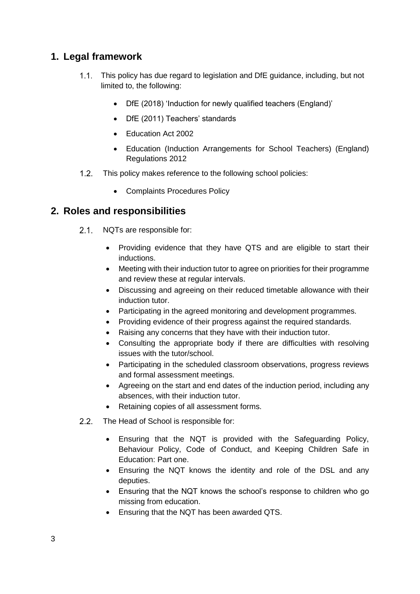#### <span id="page-3-0"></span>**1. Legal framework**

- This policy has due regard to legislation and DfE guidance, including, but not limited to, the following:
	- DfE (2018) 'Induction for newly qualified teachers (England)'
	- DfE (2011) Teachers' standards
	- Education Act 2002
	- Education (Induction Arrangements for School Teachers) (England) Regulations 2012
- 1.2. This policy makes reference to the following school policies:
	- Complaints Procedures Policy

#### <span id="page-3-1"></span>**2. Roles and responsibilities**

- $2.1.$ NQTs are responsible for:
	- Providing evidence that they have QTS and are eligible to start their inductions.
	- Meeting with their induction tutor to agree on priorities for their programme and review these at regular intervals.
	- Discussing and agreeing on their reduced timetable allowance with their induction tutor.
	- Participating in the agreed monitoring and development programmes.
	- Providing evidence of their progress against the required standards.
	- Raising any concerns that they have with their induction tutor.
	- Consulting the appropriate body if there are difficulties with resolving issues with the tutor/school.
	- Participating in the scheduled classroom observations, progress reviews and formal assessment meetings.
	- Agreeing on the start and end dates of the induction period, including any absences, with their induction tutor.
	- Retaining copies of all assessment forms.
- $2.2.$ The Head of School is responsible for:
	- Ensuring that the NQT is provided with the Safeguarding Policy, Behaviour Policy, Code of Conduct, and Keeping Children Safe in Education: Part one.
	- Ensuring the NQT knows the identity and role of the DSL and any deputies.
	- Ensuring that the NQT knows the school's response to children who go missing from education.
	- Ensuring that the NQT has been awarded QTS.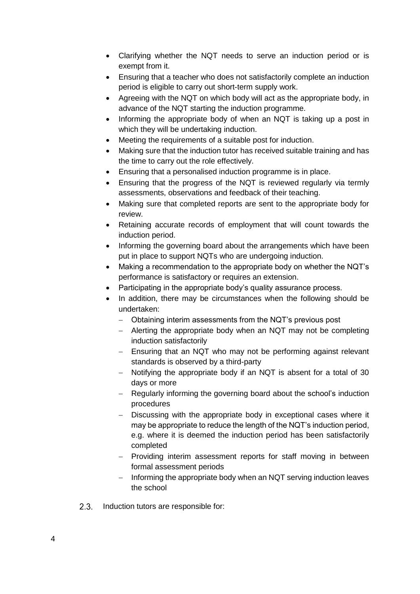- Clarifying whether the NQT needs to serve an induction period or is exempt from it.
- Ensuring that a teacher who does not satisfactorily complete an induction period is eligible to carry out short-term supply work.
- Agreeing with the NQT on which body will act as the appropriate body, in advance of the NQT starting the induction programme.
- Informing the appropriate body of when an NQT is taking up a post in which they will be undertaking induction.
- Meeting the requirements of a suitable post for induction.
- Making sure that the induction tutor has received suitable training and has the time to carry out the role effectively.
- Ensuring that a personalised induction programme is in place.
- Ensuring that the progress of the NQT is reviewed regularly via termly assessments, observations and feedback of their teaching.
- Making sure that completed reports are sent to the appropriate body for review.
- Retaining accurate records of employment that will count towards the induction period.
- Informing the governing board about the arrangements which have been put in place to support NQTs who are undergoing induction.
- Making a recommendation to the appropriate body on whether the NQT's performance is satisfactory or requires an extension.
- Participating in the appropriate body's quality assurance process.
- In addition, there may be circumstances when the following should be undertaken:
	- Obtaining interim assessments from the NQT's previous post
	- $-$  Alerting the appropriate body when an NQT may not be completing induction satisfactorily
	- Ensuring that an NQT who may not be performing against relevant standards is observed by a third-party
	- Notifying the appropriate body if an NQT is absent for a total of 30 days or more
	- Regularly informing the governing board about the school's induction procedures
	- Discussing with the appropriate body in exceptional cases where it may be appropriate to reduce the length of the NQT's induction period, e.g. where it is deemed the induction period has been satisfactorily completed
	- Providing interim assessment reports for staff moving in between formal assessment periods
	- $-$  Informing the appropriate body when an NQT serving induction leaves the school
- $2.3.$ Induction tutors are responsible for: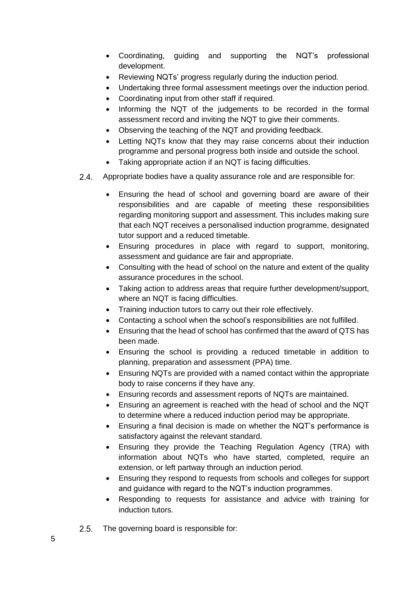- Coordinating, guiding and supporting the NQT's professional development.
- Reviewing NQTs' progress regularly during the induction period.
- Undertaking three formal assessment meetings over the induction period.
- Coordinating input from other staff if required.
- Informing the NQT of the judgements to be recorded in the formal assessment record and inviting the NQT to give their comments.
- Observing the teaching of the NQT and providing feedback.
- Letting NQTs know that they may raise concerns about their induction programme and personal progress both inside and outside the school.
- Taking appropriate action if an NQT is facing difficulties.
- $2.4.$ Appropriate bodies have a quality assurance role and are responsible for:
	- Ensuring the head of school and governing board are aware of their responsibilities and are capable of meeting these responsibilities regarding monitoring support and assessment. This includes making sure that each NQT receives a personalised induction programme, designated tutor support and a reduced timetable.
	- Ensuring procedures in place with regard to support, monitoring, assessment and guidance are fair and appropriate.
	- Consulting with the head of school on the nature and extent of the quality assurance procedures in the school.
	- Taking action to address areas that require further development/support, where an NQT is facing difficulties.
	- Training induction tutors to carry out their role effectively.
	- Contacting a school when the school's responsibilities are not fulfilled.
	- Ensuring that the head of school has confirmed that the award of QTS has been made.
	- Ensuring the school is providing a reduced timetable in addition to planning, preparation and assessment (PPA) time.
	- Ensuring NQTs are provided with a named contact within the appropriate body to raise concerns if they have any.
	- Ensuring records and assessment reports of NQTs are maintained.
	- Ensuring an agreement is reached with the head of school and the NQT to determine where a reduced induction period may be appropriate.
	- Ensuring a final decision is made on whether the NQT's performance is satisfactory against the relevant standard.
	- Ensuring they provide the Teaching Regulation Agency (TRA) with information about NQTs who have started, completed, require an extension, or left partway through an induction period.
	- Ensuring they respond to requests from schools and colleges for support and guidance with regard to the NQT's induction programmes.
	- Responding to requests for assistance and advice with training for induction tutors.
- $2.5.$ The governing board is responsible for: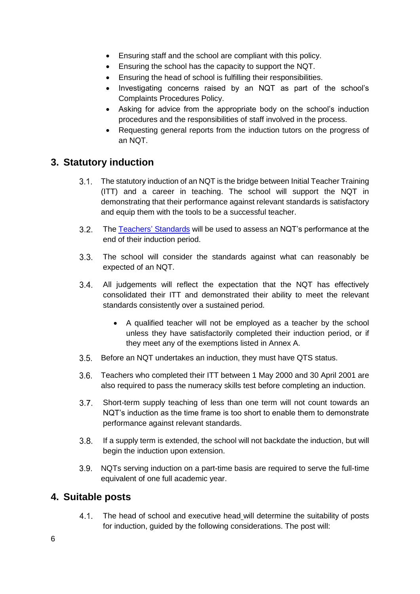- Ensuring staff and the school are compliant with this policy.
- Ensuring the school has the capacity to support the NQT.
- Ensuring the head of school is fulfilling their responsibilities.
- Investigating concerns raised by an NQT as part of the school's Complaints Procedures Policy.
- Asking for advice from the appropriate body on the school's induction procedures and the responsibilities of staff involved in the process.
- Requesting general reports from the induction tutors on the progress of an NQT.

#### <span id="page-6-0"></span>**3. Statutory induction**

- 3.1. The statutory induction of an NQT is the bridge between Initial Teacher Training (ITT) and a career in teaching. The school will support the NQT in demonstrating that their performance against relevant standards is satisfactory and equip them with the tools to be a successful teacher.
- $3.2.$ The [Teachers'](https://www.gov.uk/government/publications/teachers-standards) Standards will be used to assess an NQT's performance at the end of their induction period.
- $3.3.$ The school will consider the standards against what can reasonably be expected of an NQT.
- All judgements will reflect the expectation that the NQT has effectively  $3.4.$ consolidated their ITT and demonstrated their ability to meet the relevant standards consistently over a sustained period.
	- A qualified teacher will not be employed as a teacher by the school unless they have satisfactorily completed their induction period, or if they meet any of the exemptions listed in Annex A.
- Before an NQT undertakes an induction, they must have QTS status.
- Teachers who completed their ITT between 1 May 2000 and 30 April 2001 are also required to pass the numeracy skills test before completing an induction.
- $3.7.$ Short-term supply teaching of less than one term will not count towards an NQT's induction as the time frame is too short to enable them to demonstrate performance against relevant standards.
- $3.8.$ If a supply term is extended, the school will not backdate the induction, but will begin the induction upon extension.
- NQTs serving induction on a part-time basis are required to serve the full-time equivalent of one full academic year.

#### <span id="page-6-1"></span>**4. Suitable posts**

 $4.1.$ The head of school and executive head will determine the suitability of posts for induction, guided by the following considerations. The post will: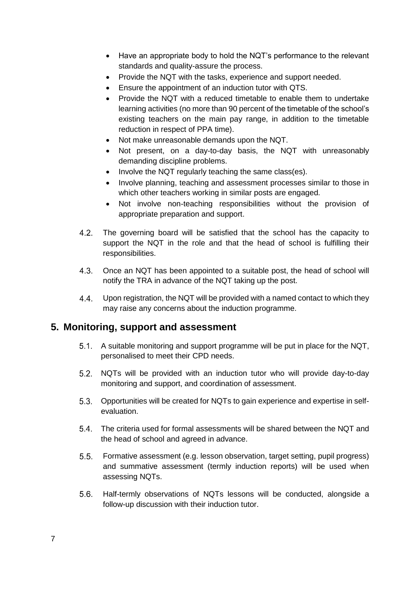- Have an appropriate body to hold the NQT's performance to the relevant standards and quality-assure the process.
- Provide the NQT with the tasks, experience and support needed.
- Ensure the appointment of an induction tutor with QTS.
- Provide the NQT with a reduced timetable to enable them to undertake learning activities (no more than 90 percent of the timetable of the school's existing teachers on the main pay range, in addition to the timetable reduction in respect of PPA time).
- Not make unreasonable demands upon the NQT.
- Not present, on a day-to-day basis, the NQT with unreasonably demanding discipline problems.
- Involve the NQT regularly teaching the same class(es).
- Involve planning, teaching and assessment processes similar to those in which other teachers working in similar posts are engaged.
- Not involve non-teaching responsibilities without the provision of appropriate preparation and support.
- $4.2.$ The governing board will be satisfied that the school has the capacity to support the NQT in the role and that the head of school is fulfilling their responsibilities.
- $4.3.$ Once an NQT has been appointed to a suitable post, the head of school will notify the TRA in advance of the NQT taking up the post.
- $4.4.$ Upon registration, the NQT will be provided with a named contact to which they may raise any concerns about the induction programme.

#### <span id="page-7-0"></span>**5. Monitoring, support and assessment**

- A suitable monitoring and support programme will be put in place for the NQT, personalised to meet their CPD needs.
- NQTs will be provided with an induction tutor who will provide day-to-day monitoring and support, and coordination of assessment.
- Opportunities will be created for NQTs to gain experience and expertise in selfevaluation.
- The criteria used for formal assessments will be shared between the NQT and the head of school and agreed in advance.
- Formative assessment (e.g. lesson observation, target setting, pupil progress)  $5.5.$ and summative assessment (termly induction reports) will be used when assessing NQTs.
- 5.6. Half-termly observations of NQTs lessons will be conducted, alongside a follow-up discussion with their induction tutor.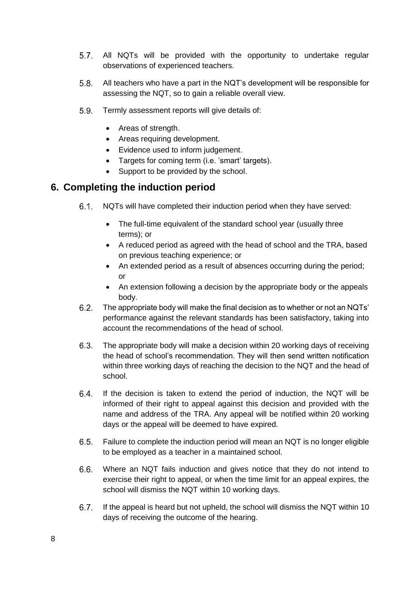- $5.7.$ All NQTs will be provided with the opportunity to undertake regular observations of experienced teachers.
- $5.8.$ All teachers who have a part in the NQT's development will be responsible for assessing the NQT, so to gain a reliable overall view.
- $5.9.$ Termly assessment reports will give details of:
	- Areas of strength.
	- Areas requiring development.
	- Evidence used to inform judgement.
	- Targets for coming term (i.e. 'smart' targets).
	- Support to be provided by the school.

#### <span id="page-8-0"></span>**6. Completing the induction period**

- $6.1.$ NQTs will have completed their induction period when they have served:
	- The full-time equivalent of the standard school year (usually three terms); or
	- A reduced period as agreed with the head of school and the TRA, based on previous teaching experience; or
	- An extended period as a result of absences occurring during the period; or
	- An extension following a decision by the appropriate body or the appeals body.
- $6.2.$ The appropriate body will make the final decision as to whether or not an NQTs' performance against the relevant standards has been satisfactory, taking into account the recommendations of the head of school.
- $6.3.$ The appropriate body will make a decision within 20 working days of receiving the head of school's recommendation. They will then send written notification within three working days of reaching the decision to the NQT and the head of school.
- If the decision is taken to extend the period of induction, the NQT will be  $6.4.$ informed of their right to appeal against this decision and provided with the name and address of the TRA. Any appeal will be notified within 20 working days or the appeal will be deemed to have expired.
- $6.5.$ Failure to complete the induction period will mean an NQT is no longer eligible to be employed as a teacher in a maintained school.
- $6.6.$ Where an NQT fails induction and gives notice that they do not intend to exercise their right to appeal, or when the time limit for an appeal expires, the school will dismiss the NQT within 10 working days.
- $6.7.$ If the appeal is heard but not upheld, the school will dismiss the NQT within 10 days of receiving the outcome of the hearing.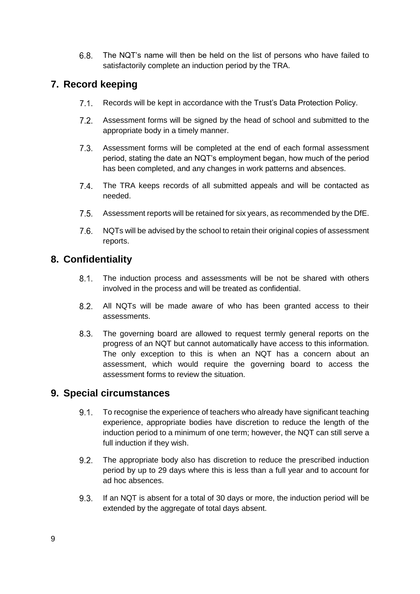$6.8.$ The NQT's name will then be held on the list of persons who have failed to satisfactorily complete an induction period by the TRA.

#### <span id="page-9-0"></span>**7. Record keeping**

- $7.1$ Records will be kept in accordance with the Trust's Data Protection Policy.
- $7.2.$ Assessment forms will be signed by the head of school and submitted to the appropriate body in a timely manner.
- $7.3.$ Assessment forms will be completed at the end of each formal assessment period, stating the date an NQT's employment began, how much of the period has been completed, and any changes in work patterns and absences.
- $7.4.$ The TRA keeps records of all submitted appeals and will be contacted as needed.
- $7.5.$ Assessment reports will be retained for six years, as recommended by the DfE.
- $7.6.$ NQTs will be advised by the school to retain their original copies of assessment reports.

#### <span id="page-9-1"></span>**8. Confidentiality**

- $8.1.$ The induction process and assessments will be not be shared with others involved in the process and will be treated as confidential.
- $8.2.$ All NQTs will be made aware of who has been granted access to their assessments.
- $8.3.$ The governing board are allowed to request termly general reports on the progress of an NQT but cannot automatically have access to this information. The only exception to this is when an NQT has a concern about an assessment, which would require the governing board to access the assessment forms to review the situation.

#### <span id="page-9-2"></span>**9. Special circumstances**

- $9.1.$ To recognise the experience of teachers who already have significant teaching experience, appropriate bodies have discretion to reduce the length of the induction period to a minimum of one term; however, the NQT can still serve a full induction if they wish.
- $9.2.$ The appropriate body also has discretion to reduce the prescribed induction period by up to 29 days where this is less than a full year and to account for ad hoc absences.
- $9.3.$ If an NQT is absent for a total of 30 days or more, the induction period will be extended by the aggregate of total days absent.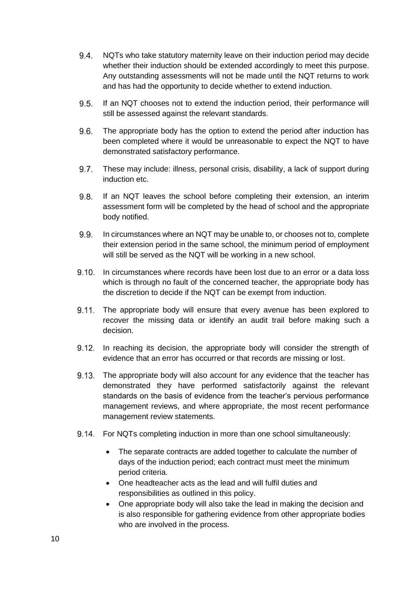- $9.4.$ NQTs who take statutory maternity leave on their induction period may decide whether their induction should be extended accordingly to meet this purpose. Any outstanding assessments will not be made until the NQT returns to work and has had the opportunity to decide whether to extend induction.
- $9.5.$ If an NQT chooses not to extend the induction period, their performance will still be assessed against the relevant standards.
- $9.6.$ The appropriate body has the option to extend the period after induction has been completed where it would be unreasonable to expect the NQT to have demonstrated satisfactory performance.
- $9.7$ These may include: illness, personal crisis, disability, a lack of support during induction etc.
- $9.8.$ If an NQT leaves the school before completing their extension, an interim assessment form will be completed by the head of school and the appropriate body notified.
- $9.9.$ In circumstances where an NQT may be unable to, or chooses not to, complete their extension period in the same school, the minimum period of employment will still be served as the NQT will be working in a new school.
- 9.10. In circumstances where records have been lost due to an error or a data loss which is through no fault of the concerned teacher, the appropriate body has the discretion to decide if the NQT can be exempt from induction.
- 9.11. The appropriate body will ensure that every avenue has been explored to recover the missing data or identify an audit trail before making such a decision.
- 9.12. In reaching its decision, the appropriate body will consider the strength of evidence that an error has occurred or that records are missing or lost.
- The appropriate body will also account for any evidence that the teacher has demonstrated they have performed satisfactorily against the relevant standards on the basis of evidence from the teacher's pervious performance management reviews, and where appropriate, the most recent performance management review statements.
- 9.14. For NQTs completing induction in more than one school simultaneously:
	- The separate contracts are added together to calculate the number of days of the induction period; each contract must meet the minimum period criteria.
	- One headteacher acts as the lead and will fulfil duties and responsibilities as outlined in this policy.
	- One appropriate body will also take the lead in making the decision and is also responsible for gathering evidence from other appropriate bodies who are involved in the process.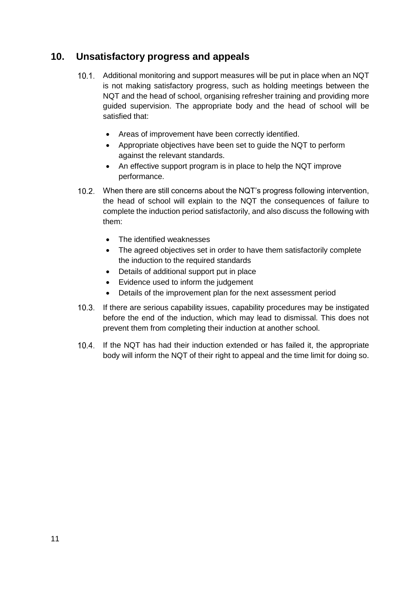#### <span id="page-11-0"></span>**10. Unsatisfactory progress and appeals**

- Additional monitoring and support measures will be put in place when an NQT is not making satisfactory progress, such as holding meetings between the NQT and the head of school, organising refresher training and providing more guided supervision. The appropriate body and the head of school will be satisfied that:
	- Areas of improvement have been correctly identified.
	- Appropriate objectives have been set to guide the NQT to perform against the relevant standards.
	- An effective support program is in place to help the NQT improve performance.
- 10.2. When there are still concerns about the NQT's progress following intervention, the head of school will explain to the NQT the consequences of failure to complete the induction period satisfactorily, and also discuss the following with them:
	- The identified weaknesses
	- The agreed objectives set in order to have them satisfactorily complete the induction to the required standards
	- Details of additional support put in place
	- Evidence used to inform the judgement
	- Details of the improvement plan for the next assessment period
- 10.3. If there are serious capability issues, capability procedures may be instigated before the end of the induction, which may lead to dismissal. This does not prevent them from completing their induction at another school.
- If the NQT has had their induction extended or has failed it, the appropriate body will inform the NQT of their right to appeal and the time limit for doing so.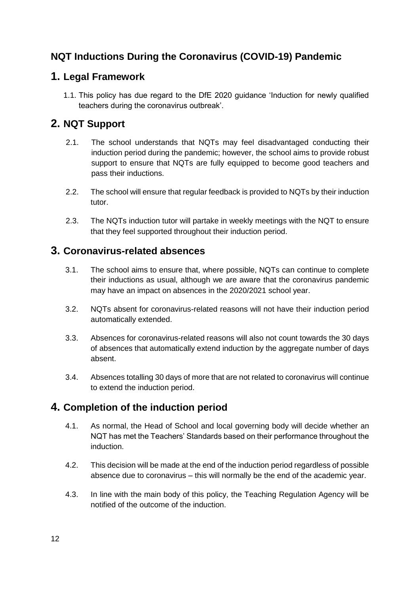### **NQT Inductions During the Coronavirus (COVID-19) Pandemic**

#### **1. Legal Framework**

1.1. This policy has due regard to the DfE 2020 guidance 'Induction for newly qualified teachers during the coronavirus outbreak'.

#### **2. NQT Support**

- 2.1. The school understands that NQTs may feel disadvantaged conducting their induction period during the pandemic; however, the school aims to provide robust support to ensure that NQTs are fully equipped to become good teachers and pass their inductions.
- 2.2. The school will ensure that regular feedback is provided to NQTs by their induction tutor.
- 2.3. The NQTs induction tutor will partake in weekly meetings with the NQT to ensure that they feel supported throughout their induction period.

#### **3. Coronavirus-related absences**

- 3.1. The school aims to ensure that, where possible, NQTs can continue to complete their inductions as usual, although we are aware that the coronavirus pandemic may have an impact on absences in the 2020/2021 school year.
- 3.2. NQTs absent for coronavirus-related reasons will not have their induction period automatically extended.
- 3.3. Absences for coronavirus-related reasons will also not count towards the 30 days of absences that automatically extend induction by the aggregate number of days absent.
- 3.4. Absences totalling 30 days of more that are not related to coronavirus will continue to extend the induction period.

#### **4. Completion of the induction period**

- 4.1. As normal, the Head of School and local governing body will decide whether an NQT has met the Teachers' Standards based on their performance throughout the induction.
- 4.2. This decision will be made at the end of the induction period regardless of possible absence due to coronavirus – this will normally be the end of the academic year.
- 4.3. In line with the main body of this policy, the Teaching Regulation Agency will be notified of the outcome of the induction.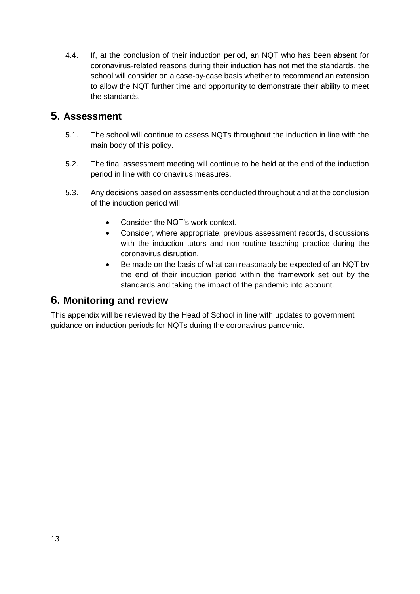4.4. If, at the conclusion of their induction period, an NQT who has been absent for coronavirus-related reasons during their induction has not met the standards, the school will consider on a case-by-case basis whether to recommend an extension to allow the NQT further time and opportunity to demonstrate their ability to meet the standards.

#### **5. Assessment**

- 5.1. The school will continue to assess NQTs throughout the induction in line with the main body of this policy.
- 5.2. The final assessment meeting will continue to be held at the end of the induction period in line with coronavirus measures.
- 5.3. Any decisions based on assessments conducted throughout and at the conclusion of the induction period will:
	- Consider the NQT's work context.
	- Consider, where appropriate, previous assessment records, discussions with the induction tutors and non-routine teaching practice during the coronavirus disruption.
	- Be made on the basis of what can reasonably be expected of an NQT by the end of their induction period within the framework set out by the standards and taking the impact of the pandemic into account.

#### **6. Monitoring and review**

This appendix will be reviewed by the Head of School in line with updates to government guidance on induction periods for NQTs during the coronavirus pandemic.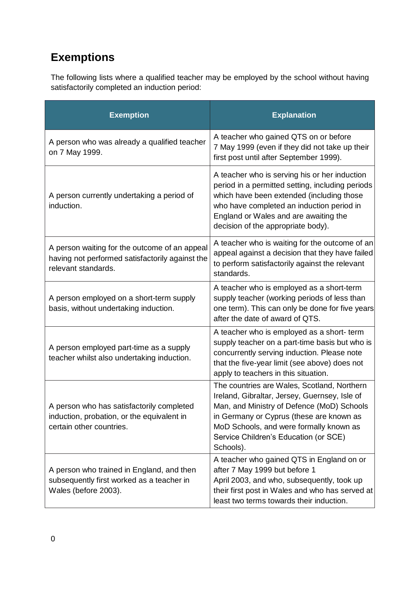## <span id="page-14-0"></span>**Exemptions**

The following lists where a qualified teacher may be employed by the school without having satisfactorily completed an induction period:

| <b>Exemption</b>                                                                                                        | <b>Explanation</b>                                                                                                                                                                                                                                                                      |
|-------------------------------------------------------------------------------------------------------------------------|-----------------------------------------------------------------------------------------------------------------------------------------------------------------------------------------------------------------------------------------------------------------------------------------|
| A person who was already a qualified teacher<br>on 7 May 1999.                                                          | A teacher who gained QTS on or before<br>7 May 1999 (even if they did not take up their<br>first post until after September 1999).                                                                                                                                                      |
| A person currently undertaking a period of<br>induction.                                                                | A teacher who is serving his or her induction<br>period in a permitted setting, including periods<br>which have been extended (including those<br>who have completed an induction period in<br>England or Wales and are awaiting the<br>decision of the appropriate body).              |
| A person waiting for the outcome of an appeal<br>having not performed satisfactorily against the<br>relevant standards. | A teacher who is waiting for the outcome of an<br>appeal against a decision that they have failed<br>to perform satisfactorily against the relevant<br>standards.                                                                                                                       |
| A person employed on a short-term supply<br>basis, without undertaking induction.                                       | A teacher who is employed as a short-term<br>supply teacher (working periods of less than<br>one term). This can only be done for five years<br>after the date of award of QTS.                                                                                                         |
| A person employed part-time as a supply<br>teacher whilst also undertaking induction.                                   | A teacher who is employed as a short- term<br>supply teacher on a part-time basis but who is<br>concurrently serving induction. Please note<br>that the five-year limit (see above) does not<br>apply to teachers in this situation.                                                    |
| A person who has satisfactorily completed<br>induction, probation, or the equivalent in<br>certain other countries.     | The countries are Wales, Scotland, Northern<br>Ireland, Gibraltar, Jersey, Guernsey, Isle of<br>Man, and Ministry of Defence (MoD) Schools<br>in Germany or Cyprus (these are known as<br>MoD Schools, and were formally known as<br>Service Children's Education (or SCE)<br>Schools). |
| A person who trained in England, and then<br>subsequently first worked as a teacher in<br>Wales (before 2003).          | A teacher who gained QTS in England on or<br>after 7 May 1999 but before 1<br>April 2003, and who, subsequently, took up<br>their first post in Wales and who has served at<br>least two terms towards their induction.                                                                 |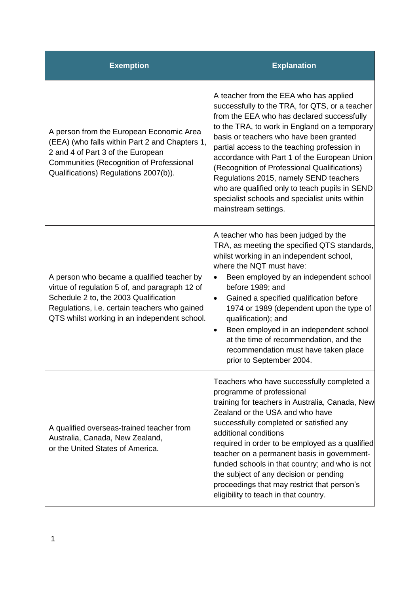| <b>Exemption</b>                                                                                                                                                                                                                       | <b>Explanation</b>                                                                                                                                                                                                                                                                                                                                                                                                                                                                                                                                       |
|----------------------------------------------------------------------------------------------------------------------------------------------------------------------------------------------------------------------------------------|----------------------------------------------------------------------------------------------------------------------------------------------------------------------------------------------------------------------------------------------------------------------------------------------------------------------------------------------------------------------------------------------------------------------------------------------------------------------------------------------------------------------------------------------------------|
| A person from the European Economic Area<br>(EEA) (who falls within Part 2 and Chapters 1,<br>2 and 4 of Part 3 of the European<br>Communities (Recognition of Professional<br>Qualifications) Regulations 2007(b)).                   | A teacher from the EEA who has applied<br>successfully to the TRA, for QTS, or a teacher<br>from the EEA who has declared successfully<br>to the TRA, to work in England on a temporary<br>basis or teachers who have been granted<br>partial access to the teaching profession in<br>accordance with Part 1 of the European Union<br>(Recognition of Professional Qualifications)<br>Regulations 2015, namely SEND teachers<br>who are qualified only to teach pupils in SEND<br>specialist schools and specialist units within<br>mainstream settings. |
| A person who became a qualified teacher by<br>virtue of regulation 5 of, and paragraph 12 of<br>Schedule 2 to, the 2003 Qualification<br>Regulations, i.e. certain teachers who gained<br>QTS whilst working in an independent school. | A teacher who has been judged by the<br>TRA, as meeting the specified QTS standards,<br>whilst working in an independent school,<br>where the NQT must have:<br>Been employed by an independent school<br>$\bullet$<br>before 1989; and<br>Gained a specified qualification before<br>$\bullet$<br>1974 or 1989 (dependent upon the type of<br>qualification); and<br>Been employed in an independent school<br>٠<br>at the time of recommendation, and the<br>recommendation must have taken place<br>prior to September 2004.                          |
| A qualified overseas-trained teacher from<br>Australia, Canada, New Zealand,<br>or the United States of America.                                                                                                                       | Teachers who have successfully completed a<br>programme of professional<br>training for teachers in Australia, Canada, New<br>Zealand or the USA and who have<br>successfully completed or satisfied any<br>additional conditions<br>required in order to be employed as a qualified<br>teacher on a permanent basis in government-<br>funded schools in that country; and who is not<br>the subject of any decision or pending<br>proceedings that may restrict that person's<br>eligibility to teach in that country.                                  |